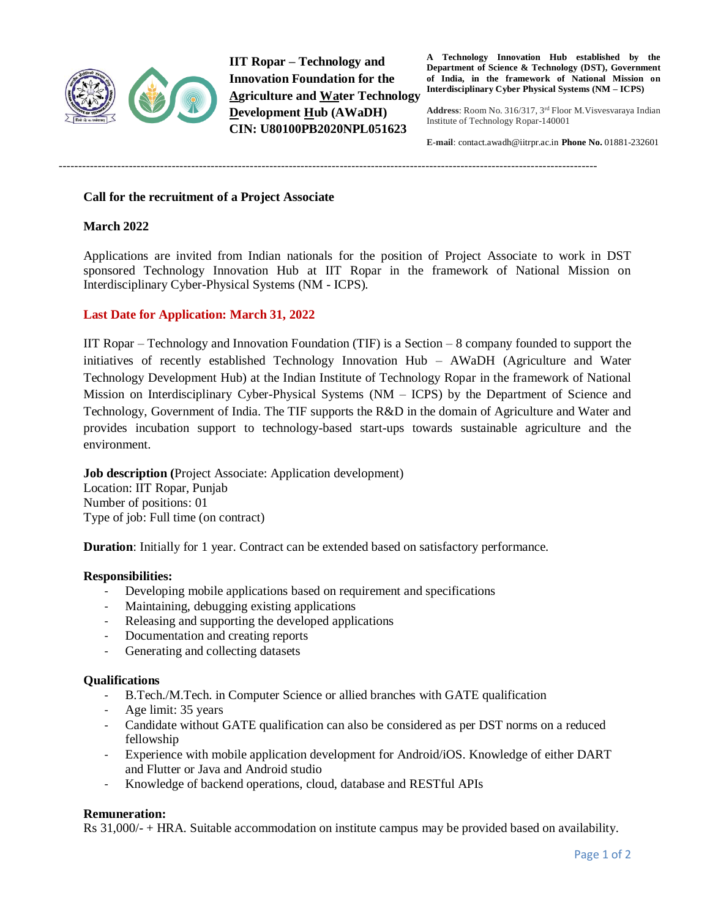

**IIT Ropar – Technology and Innovation Foundation for the Agriculture and Water Technology Development Hub (AWaDH) CIN: U80100PB2020NPL051623**

**A Technology Innovation Hub established by the Department of Science & Technology (DST), Government of India, in the framework of National Mission on Interdisciplinary Cyber Physical Systems (NM – ICPS)**

**Address**: Room No. 316/317, 3rd Floor M.Visvesvaraya Indian Institute of Technology Ropar-140001

**E-mail**: contac[t.awadh@iitrpr.ac.in](mailto:awadh@iitrpr.ac.in) **Phone No.** 01881-232601

------------------------------------------------------------------------------------------------------------------------------------------

## **Call for the recruitment of a Project Associate**

# **March 2022**

Applications are invited from Indian nationals for the position of Project Associate to work in DST sponsored Technology Innovation Hub at IIT Ropar in the framework of National Mission on Interdisciplinary Cyber-Physical Systems (NM - ICPS).

## **Last Date for Application: March 31, 2022**

IIT Ropar – Technology and Innovation Foundation (TIF) is a Section – 8 company founded to support the initiatives of recently established Technology Innovation Hub – AWaDH (Agriculture and Water Technology Development Hub) at the Indian Institute of Technology Ropar in the framework of National Mission on Interdisciplinary Cyber-Physical Systems (NM – ICPS) by the Department of Science and Technology, Government of India. The TIF supports the R&D in the domain of Agriculture and Water and provides incubation support to technology-based start-ups towards sustainable agriculture and the environment.

**Job description (**Project Associate: Application development) Location: IIT Ropar, Punjab Number of positions: 01 Type of job: Full time (on contract)

**Duration**: Initially for 1 year. Contract can be extended based on satisfactory performance.

#### **Responsibilities:**

- Developing mobile applications based on requirement and specifications
- Maintaining, debugging existing applications
- Releasing and supporting the developed applications
- Documentation and creating reports
- Generating and collecting datasets

#### **Qualifications**

- B.Tech./M.Tech. in Computer Science or allied branches with GATE qualification
- Age limit: 35 years
- Candidate without GATE qualification can also be considered as per DST norms on a reduced fellowship
- Experience with mobile application development for Android/iOS. Knowledge of either DART and Flutter or Java and Android studio
- Knowledge of backend operations, cloud, database and RESTful APIs

#### **Remuneration:**

Rs 31,000/- + HRA. Suitable accommodation on institute campus may be provided based on availability.